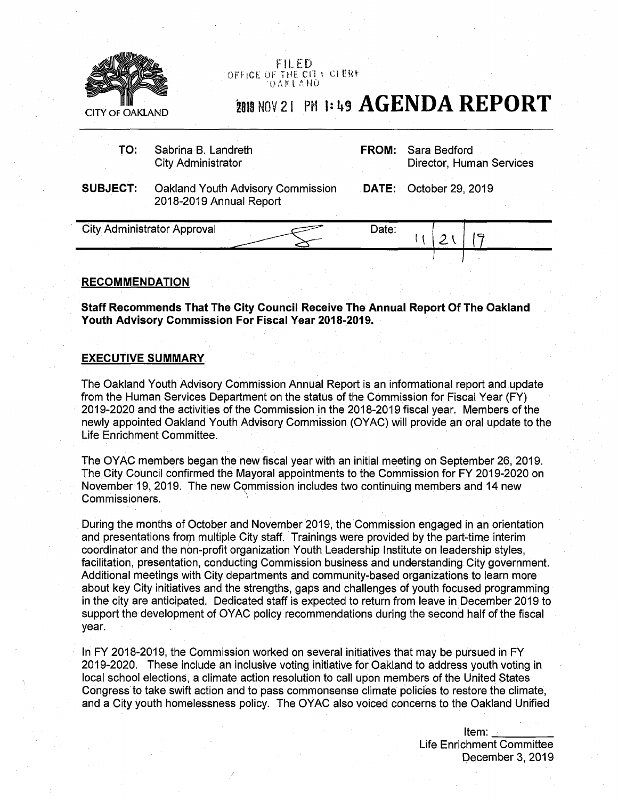

**FILED**<br>OFFICE OF THE CITY CLERE ' 0 <sup>A</sup> <sup>K</sup> l <sup>A</sup> <sup>N</sup> 0

## CITY OF OAKLAND 2019 NOV 21 PM 1: 49  $\overline{AGENDA}$  REPORT

| TO:             | Sabrina B. Landreth<br><b>City Administrator</b>             | <b>FROM:</b> | Sara Bedford<br>Director, Human Services |
|-----------------|--------------------------------------------------------------|--------------|------------------------------------------|
| <b>SUBJECT:</b> | Oakland Youth Advisory Commission<br>2018-2019 Annual Report |              | <b>DATE:</b> October 29, 2019            |
|                 | <b>City Administrator Approval</b>                           | Date:        |                                          |

## **RECOMMENDATION**

**Staff Recommends That The City Council Receive The Annual Report Of The Oakland Youth Advisory Commission For Fiscal Year 2018-2019.**

## **EXECUTIVE SUMMARY**

The Oakland Youth Advisory Commission Annual Report is an informational report and update from the Human Services Department on the status of the Commission for Fiscal Year (FY) 2019-2020 and the activities of the Commission in the 2018-2019 fiscal year. Members of the newly appointed Oakland Youth Advisory Commission (OYAC) will provide an oral update to the Life Enrichment Committee.

The OYAC members began the new fiscal year with an initial meeting on September 26, 2019. The City Council confirmed the Mayoral appointments to the Commission for FY 2019-2020 on November 19, 2019. The new Commission includes two continuing members and 14 new Commissioners.

During the months of October and November 2019, the Commission engaged in an orientation and presentations from multiple City staff. Trainings were provided by the part-time interim coordinator and the non-profit organization Youth Leadership Institute on leadership styles, facilitation, presentation, conducting Commission business and understanding City government. Additional meetings with City departments and community-based organizations to learn more about key City initiatives and the strengths, gaps and challenges of youth focused programming in the city are anticipated. Dedicated staff is expected to return from leave in December 2019 to support the development of OYAC policy recommendations during the second half of the fiscal year.

In FY 2018-2019, the Commission worked on several initiatives that may be pursued in FY 2019-2020. These include an inclusive voting initiative for Oakland to address youth voting in local school elections, a climate action resolution to call upon members of the United States Congress to take swift action and to pass commonsense climate policies to restore the climate, and a City youth homelessness policy. The OYAC also voiced concerns to the Oakland Unified

> Item: \_\_\_\_\_\_\_\_\_\_ Life Enrichment Committee December 3, 2019